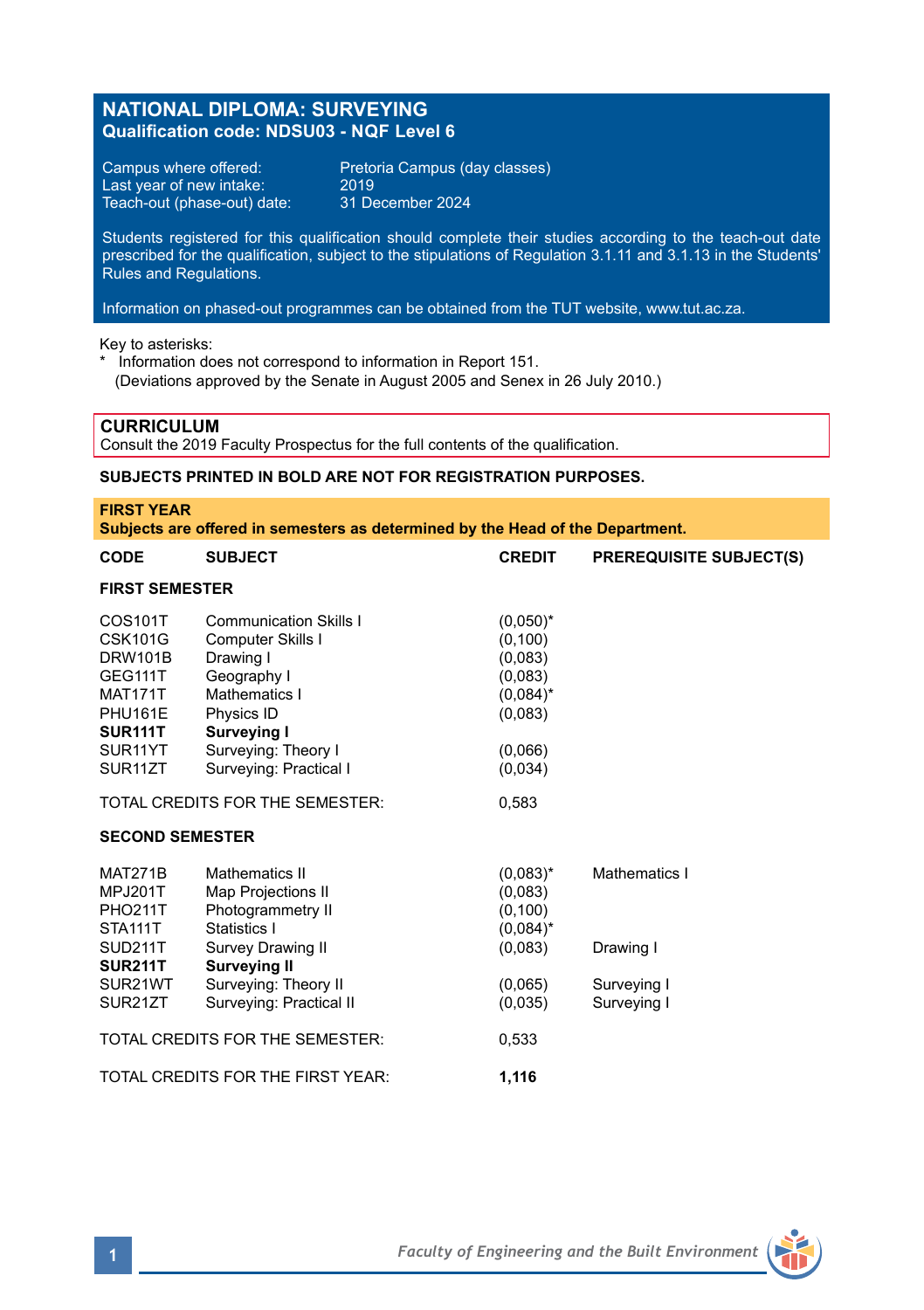# **NATIONAL DIPLOMA: SURVEYING Qualification code: NDSU03 - NQF Level 6**

Last year of new intake: 2019<br>Teach-out (phase-out) date: 31 December 2024 Teach-out (phase-out) date:

Campus where offered: Pretoria Campus (day classes)<br>Last year of new intake: 2019

Students registered for this qualification should complete their studies according to the teach-out date prescribed for the qualification, subject to the stipulations of Regulation 3.1.11 and 3.1.13 in the Students' Rules and Regulations.

Information on phased-out programmes can be obtained from the TUT website, www.tut.ac.za.

Key to asterisks:

\* Information does not correspond to information in Report 151. (Deviations approved by the Senate in August 2005 and Senex in 26 July 2010.)

### **CURRICULUM**

Consult the 2019 Faculty Prospectus for the full contents of the qualification.

## **SUBJECTS PRINTED IN BOLD ARE NOT FOR REGISTRATION PURPOSES.**

| <b>FIRST YEAR</b><br>Subjects are offered in semesters as determined by the Head of the Department.                |                                                                                                                                                             |                                                                         |                                           |  |  |
|--------------------------------------------------------------------------------------------------------------------|-------------------------------------------------------------------------------------------------------------------------------------------------------------|-------------------------------------------------------------------------|-------------------------------------------|--|--|
| CODE                                                                                                               | <b>SUBJECT</b>                                                                                                                                              | <b>CREDIT</b>                                                           | <b>PREREQUISITE SUBJECT(S)</b>            |  |  |
| <b>FIRST SEMESTER</b>                                                                                              |                                                                                                                                                             |                                                                         |                                           |  |  |
| COS101T<br><b>CSK101G</b><br><b>DRW101B</b><br>GEG111T<br><b>MAT171T</b><br>PHU161E<br>SUR <sub>111</sub> T        | <b>Communication Skills I</b><br>Computer Skills I<br>Drawing I<br>Geography I<br>Mathematics I<br>Physics ID<br>Surveying I                                | $(0,050)^*$<br>(0, 100)<br>(0,083)<br>(0,083)<br>$(0.084)^*$<br>(0,083) |                                           |  |  |
| SUR <sub>11</sub> YT<br>SUR <sub>11</sub> ZT                                                                       | Surveying: Theory I<br>Surveving: Practical I                                                                                                               | (0,066)<br>(0,034)                                                      |                                           |  |  |
| TOTAL CREDITS FOR THE SEMESTER:                                                                                    |                                                                                                                                                             | 0.583                                                                   |                                           |  |  |
| <b>SECOND SEMESTER</b>                                                                                             |                                                                                                                                                             |                                                                         |                                           |  |  |
| <b>MAT271B</b><br><b>MPJ201T</b><br><b>PHO211T</b><br>STA <sub>111</sub> T<br>SUD211T<br><b>SUR211T</b><br>SUR21WT | <b>Mathematics II</b><br>Map Projections II<br>Photogrammetry II<br>Statistics I<br><b>Survey Drawing II</b><br><b>Surveying II</b><br>Surveying: Theory II | $(0.083)^*$<br>(0,083)<br>(0, 100)<br>$(0,084)^*$<br>(0,083)<br>(0,065) | Mathematics I<br>Drawing I<br>Surveying I |  |  |
| SUR21ZT                                                                                                            | Surveying: Practical II                                                                                                                                     | (0.035)                                                                 | Surveying I                               |  |  |
| TOTAL CREDITS FOR THE SEMESTER:                                                                                    |                                                                                                                                                             | 0.533                                                                   |                                           |  |  |

TOTAL CREDITS FOR THE FIRST YEAR: **1,116**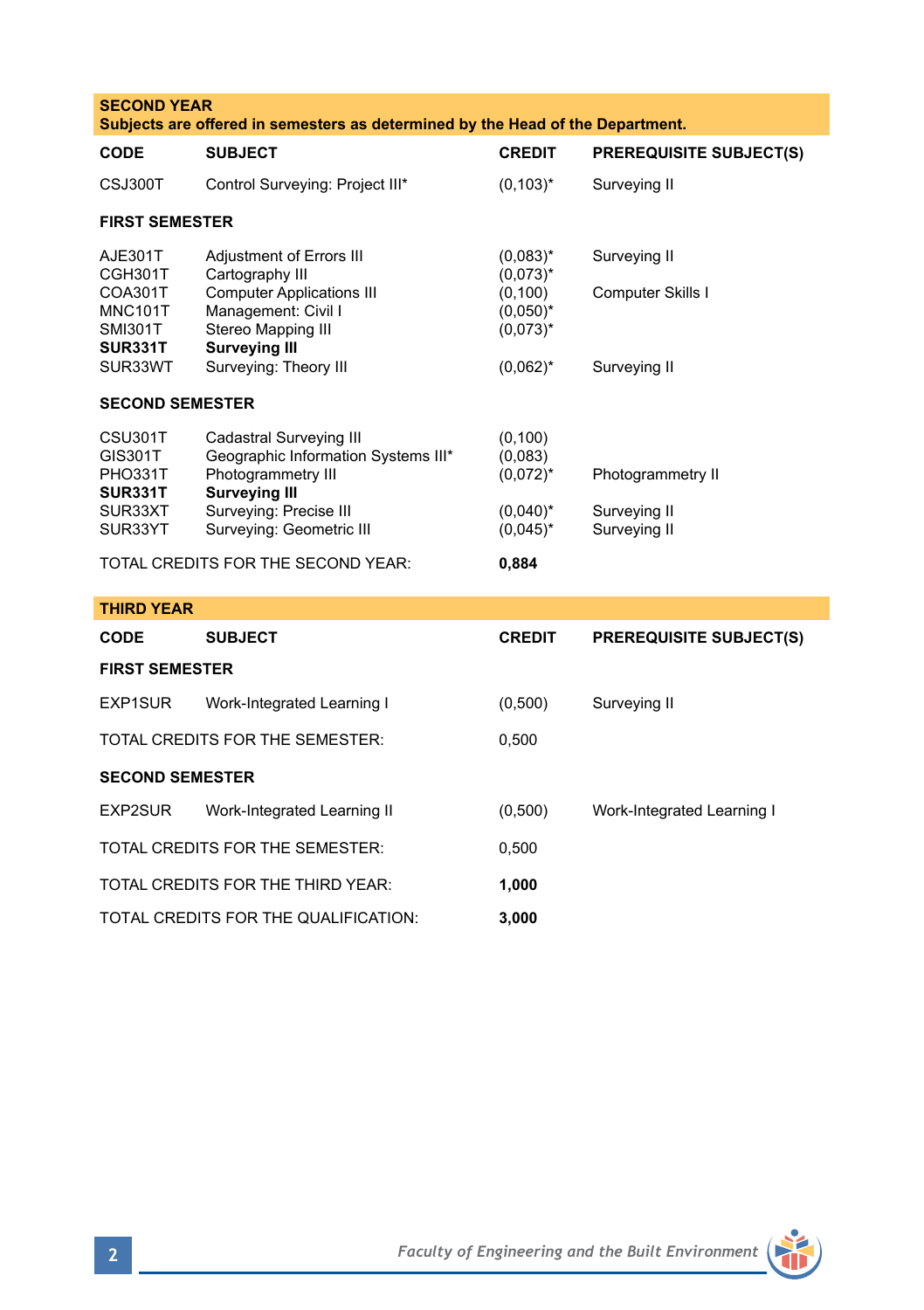| <b>SECOND YEAR</b><br>Subjects are offered in semesters as determined by the Head of the Department. |                                                                                                                                                                               |                                                                                         |                                                   |  |  |
|------------------------------------------------------------------------------------------------------|-------------------------------------------------------------------------------------------------------------------------------------------------------------------------------|-----------------------------------------------------------------------------------------|---------------------------------------------------|--|--|
| <b>CODE</b>                                                                                          | <b>SUBJECT</b>                                                                                                                                                                | <b>CREDIT</b>                                                                           | <b>PREREQUISITE SUBJECT(S)</b>                    |  |  |
| CSJ300T                                                                                              | Control Surveying: Project III*                                                                                                                                               | $(0, 103)^*$                                                                            | Surveying II                                      |  |  |
| <b>FIRST SEMESTER</b>                                                                                |                                                                                                                                                                               |                                                                                         |                                                   |  |  |
| AJE301T<br>CGH301T<br>COA301T<br><b>MNC101T</b><br><b>SMI301T</b><br>SUR331T<br>SUR33WT              | Adjustment of Errors III<br>Cartography III<br><b>Computer Applications III</b><br>Management: Civil I<br>Stereo Mapping III<br><b>Surveying III</b><br>Surveying: Theory III | $(0.083)^{*}$<br>$(0,073)^*$<br>(0, 100)<br>$(0,050)^*$<br>$(0.073)^*$<br>$(0,062)^{*}$ | Surveying II<br>Computer Skills I<br>Surveying II |  |  |
| <b>SECOND SEMESTER</b>                                                                               |                                                                                                                                                                               |                                                                                         |                                                   |  |  |
| CSU301T<br>GIS301T<br>PHO331T<br>SUR331T<br>SUR33XT<br>SUR33YT                                       | Cadastral Surveying III<br>Geographic Information Systems III*<br>Photogrammetry III<br><b>Surveying III</b><br>Surveying: Precise III<br>Surveying: Geometric III            | (0, 100)<br>(0,083)<br>$(0,072)^{*}$<br>$(0,040)^*$<br>$(0.045)^*$                      | Photogrammetry II<br>Surveying II<br>Surveying II |  |  |
| TOTAL CREDITS FOR THE SECOND YEAR:                                                                   |                                                                                                                                                                               |                                                                                         |                                                   |  |  |
| <b>THIRD YEAR</b>                                                                                    |                                                                                                                                                                               |                                                                                         |                                                   |  |  |
| <b>CODE</b>                                                                                          | <b>SUBJECT</b>                                                                                                                                                                | <b>CREDIT</b>                                                                           | <b>PREREQUISITE SUBJECT(S)</b>                    |  |  |
| <b>FIRST SEMESTER</b>                                                                                |                                                                                                                                                                               |                                                                                         |                                                   |  |  |
| EXP1SUR                                                                                              | Work-Integrated Learning I                                                                                                                                                    | (0,500)                                                                                 | Surveying II                                      |  |  |
| TOTAL CREDITS FOR THE SEMESTER:                                                                      |                                                                                                                                                                               | 0,500                                                                                   |                                                   |  |  |
| <b>SECOND SEMESTER</b>                                                                               |                                                                                                                                                                               |                                                                                         |                                                   |  |  |
| EXP2SUR                                                                                              | Work-Integrated Learning II                                                                                                                                                   | (0,500)                                                                                 | Work-Integrated Learning I                        |  |  |
| TOTAL CREDITS FOR THE SEMESTER:<br>0,500                                                             |                                                                                                                                                                               |                                                                                         |                                                   |  |  |
| TOTAL CREDITS FOR THE THIRD YEAR:<br>1,000                                                           |                                                                                                                                                                               |                                                                                         |                                                   |  |  |
| TOTAL CREDITS FOR THE QUALIFICATION:<br>3,000                                                        |                                                                                                                                                                               |                                                                                         |                                                   |  |  |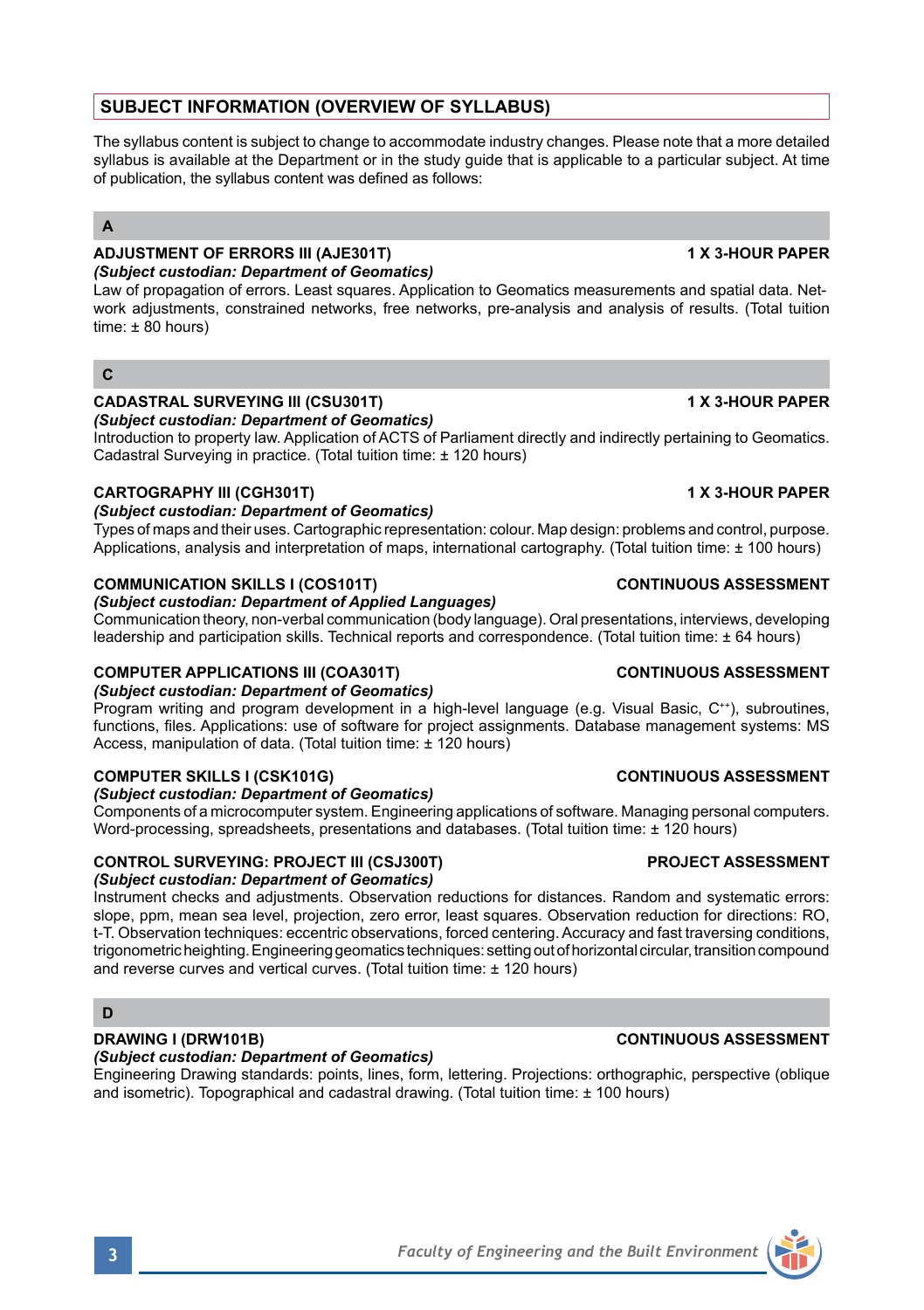## **SUBJECT INFORMATION (OVERVIEW OF SYLLABUS)**

The syllabus content is subject to change to accommodate industry changes. Please note that a more detailed syllabus is available at the Department or in the study guide that is applicable to a particular subject. At time of publication, the syllabus content was defined as follows:

## **A**

# **ADJUSTMENT OF ERRORS III (AJE301T) 1 X 3-HOUR PAPER**

*(Subject custodian: Department of Geomatics)*

Law of propagation of errors. Least squares. Application to Geomatics measurements and spatial data. Network adjustments, constrained networks, free networks, pre-analysis and analysis of results. (Total tuition time:  $\pm 80$  hours)

## **C**

## **CADASTRAL SURVEYING III (CSU301T) 1 X 3-HOUR PAPER**

*(Subject custodian: Department of Geomatics)*

Introduction to property law. Application of ACTS of Parliament directly and indirectly pertaining to Geomatics. Cadastral Surveying in practice. (Total tuition time: ± 120 hours)

## **CARTOGRAPHY III (CGH301T) 1 X 3-HOUR PAPER**

### *(Subject custodian: Department of Geomatics)*

Types of maps and their uses. Cartographic representation: colour. Map design: problems and control, purpose. Applications, analysis and interpretation of maps, international cartography. (Total tuition time: ± 100 hours)

## **COMMUNICATION SKILLS I (COS101T) CONTINUOUS ASSESSMENT**

### *(Subject custodian: Department of Applied Languages)*

Communication theory, non-verbal communication (body language). Oral presentations, interviews, developing leadership and participation skills. Technical reports and correspondence. (Total tuition time: ± 64 hours)

### **COMPUTER APPLICATIONS III (COA301T) CONTINUOUS ASSESSMENT**

*(Subject custodian: Department of Geomatics)*

Program writing and program development in a high-level language (e.g. Visual Basic, C<sup>++</sup>), subroutines, functions, files. Applications: use of software for project assignments. Database management systems: MS Access, manipulation of data. (Total tuition time: ± 120 hours)

## **COMPUTER SKILLS I (CSK101G)** COMPUTER SKILLS I (CSK101G)

### *(Subject custodian: Department of Geomatics)*

Components of a microcomputer system. Engineering applications of software. Managing personal computers. Word-processing, spreadsheets, presentations and databases. (Total tuition time: ± 120 hours)

## **CONTROL SURVEYING: PROJECT III (CSJ300T) PROJECT ASSESSMENT**

### *(Subject custodian: Department of Geomatics)*

Instrument checks and adjustments. Observation reductions for distances. Random and systematic errors: slope, ppm, mean sea level, projection, zero error, least squares. Observation reduction for directions: RO, t-T. Observation techniques: eccentric observations, forced centering. Accuracy and fast traversing conditions, trigonometric heighting. Engineering geomatics techniques: setting out of horizontal circular, transition compound and reverse curves and vertical curves. (Total tuition time: ± 120 hours)

## **D**

### **DRAWING I (DRW101B) CONTINUOUS ASSESSMENT** *(Subject custodian: Department of Geomatics)*

Engineering Drawing standards: points, lines, form, lettering. Projections: orthographic, perspective (oblique and isometric). Topographical and cadastral drawing. (Total tuition time: ± 100 hours)

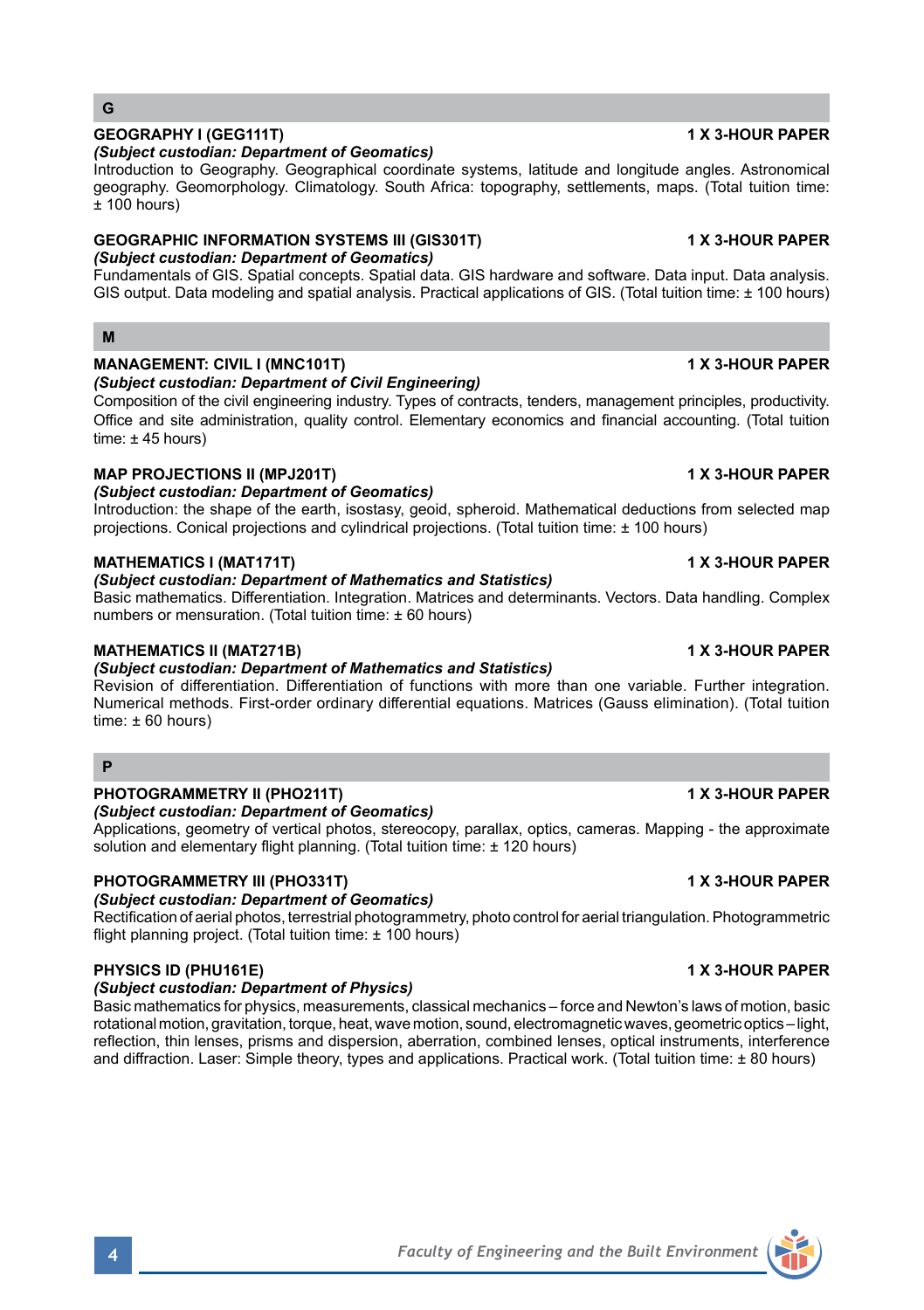## **4** *Faculty of Engineering and the Built Environment*

## **G**

### **GEOGRAPHY I (GEG111T) 1 X 3-HOUR PAPER** *(Subject custodian: Department of Geomatics)*

Introduction to Geography. Geographical coordinate systems, latitude and longitude angles. Astronomical geography. Geomorphology. Climatology. South Africa: topography, settlements, maps. (Total tuition time:  $±$  100 hours)

# **GEOGRAPHIC INFORMATION SYSTEMS III (GIS301T) 1 X 3-HOUR PAPER**

## *(Subject custodian: Department of Geomatics)*

Fundamentals of GIS. Spatial concepts. Spatial data. GIS hardware and software. Data input. Data analysis. GIS output. Data modeling and spatial analysis. Practical applications of GIS. (Total tuition time: ± 100 hours)

## **M**

## **MANAGEMENT: CIVIL I (MNC101T)** 1 X 3-HOUR PAPER

## *(Subject custodian: Department of Civil Engineering)*

Composition of the civil engineering industry. Types of contracts, tenders, management principles, productivity. Office and site administration, quality control. Elementary economics and financial accounting. (Total tuition time: ± 45 hours)

## **MAP PROJECTIONS II (MPJ201T) 1 X 3-HOUR PAPER**

*(Subject custodian: Department of Geomatics)*

Introduction: the shape of the earth, isostasy, geoid, spheroid. Mathematical deductions from selected map projections. Conical projections and cylindrical projections. (Total tuition time: ± 100 hours)

## **MATHEMATICS I (MAT171T) 1 X 3-HOUR PAPER**

## *(Subject custodian: Department of Mathematics and Statistics)*

Basic mathematics. Differentiation. Integration. Matrices and determinants. Vectors. Data handling. Complex numbers or mensuration. (Total tuition time: ± 60 hours)

## **MATHEMATICS II (MAT271B) 1 X 3-HOUR PAPER**

## *(Subject custodian: Department of Mathematics and Statistics)*

Revision of differentiation. Differentiation of functions with more than one variable. Further integration. Numerical methods. First-order ordinary differential equations. Matrices (Gauss elimination). (Total tuition  $time: +60 hours$ 

## **P**

## **PHOTOGRAMMETRY II (PHO211T) 1 X 3-HOUR PAPER**

### *(Subject custodian: Department of Geomatics)*

Applications, geometry of vertical photos, stereocopy, parallax, optics, cameras. Mapping - the approximate solution and elementary flight planning. (Total tuition time: ± 120 hours)

## **PHOTOGRAMMETRY III (PHO331T) 1 X 3-HOUR PAPER**

# *(Subject custodian: Department of Geomatics)*

Rectification of aerial photos, terrestrial photogrammetry, photo control for aerial triangulation. Photogrammetric flight planning project. (Total tuition time: ± 100 hours)

## **PHYSICS ID (PHU161E) 1 X 3-HOUR PAPER**

## *(Subject custodian: Department of Physics)*

Basic mathematics for physics, measurements, classical mechanics – force and Newton's laws of motion, basic rotational motion, gravitation, torque, heat, wave motion, sound, electromagnetic waves, geometric optics – light, reflection, thin lenses, prisms and dispersion, aberration, combined lenses, optical instruments, interference and diffraction. Laser: Simple theory, types and applications. Practical work. (Total tuition time: ± 80 hours)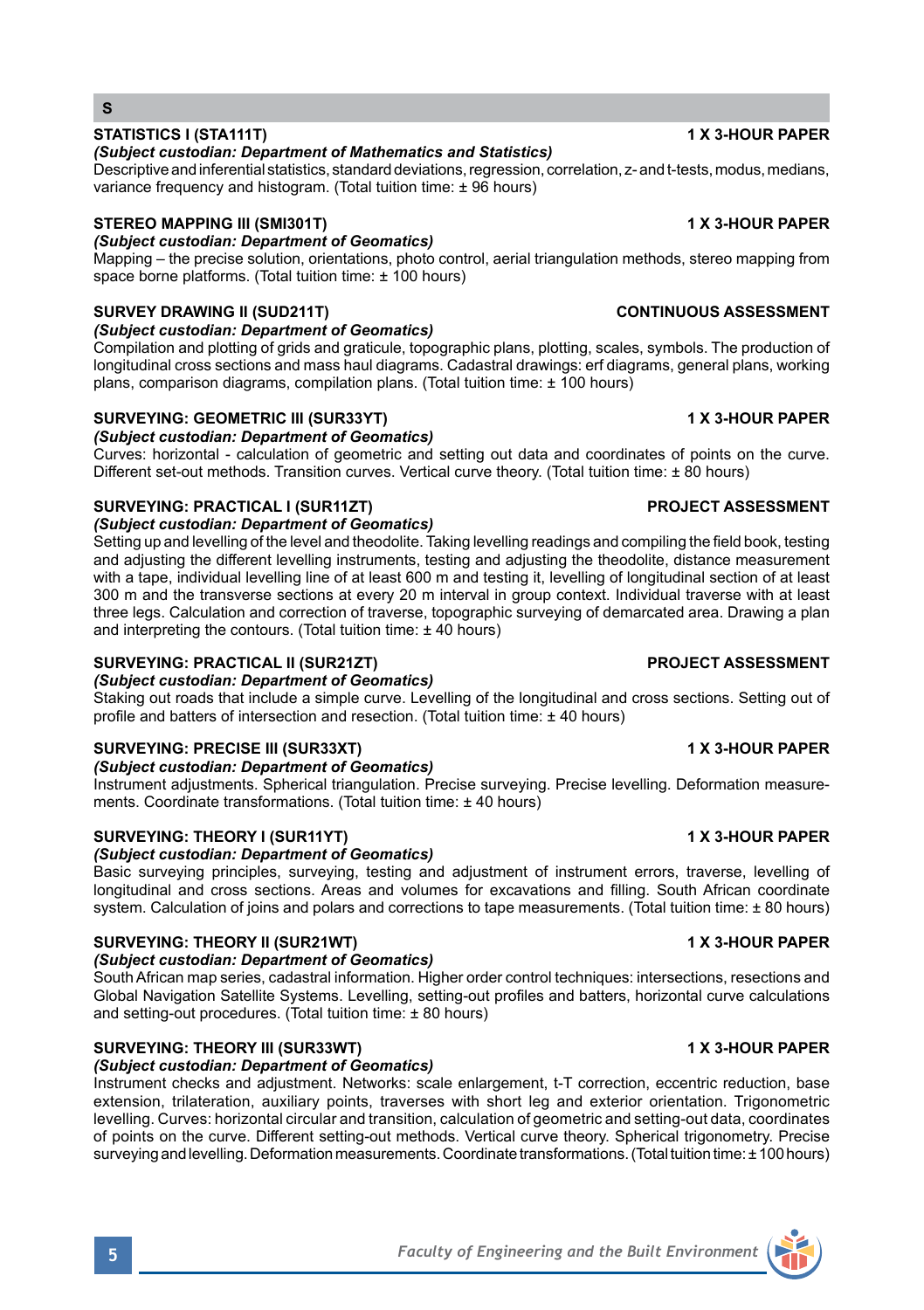## **STATISTICS I (STA111T) 1 X 3-HOUR PAPER**

## *(Subject custodian: Department of Mathematics and Statistics)*

Descriptive and inferential statistics, standard deviations, regression, correlation, z- and t-tests, modus, medians, variance frequency and histogram. (Total tuition time:  $\pm$  96 hours)

## **STEREO MAPPING III (SMI301T) 1 X 3-HOUR PAPER**

## *(Subject custodian: Department of Geomatics)*

Mapping – the precise solution, orientations, photo control, aerial triangulation methods, stereo mapping from space borne platforms. (Total tuition time: ± 100 hours)

## **SURVEY DRAWING II (SUD211T) CONTINUOUS ASSESSMENT**

*(Subject custodian: Department of Geomatics)*

Compilation and plotting of grids and graticule, topographic plans, plotting, scales, symbols. The production of longitudinal cross sections and mass haul diagrams. Cadastral drawings: erf diagrams, general plans, working plans, comparison diagrams, compilation plans. (Total tuition time: ± 100 hours)

## **SURVEYING: GEOMETRIC III (SUR33YT) 1 X 3-HOUR PAPER**

*(Subject custodian: Department of Geomatics)*

Curves: horizontal - calculation of geometric and setting out data and coordinates of points on the curve. Different set-out methods. Transition curves. Vertical curve theory. (Total tuition time: ± 80 hours)

## **SURVEYING: PRACTICAL I (SUR11ZT) PROJECT ASSESSMENT**

*(Subject custodian: Department of Geomatics)*

Setting up and levelling of the level and theodolite. Taking levelling readings and compiling the field book, testing and adjusting the different levelling instruments, testing and adjusting the theodolite, distance measurement with a tape, individual levelling line of at least 600 m and testing it, levelling of longitudinal section of at least 300 m and the transverse sections at every 20 m interval in group context. Individual traverse with at least three legs. Calculation and correction of traverse, topographic surveying of demarcated area. Drawing a plan and interpreting the contours. (Total tuition time: ± 40 hours)

## **SURVEYING: PRACTICAL II (SUR21ZT) PROJECT ASSESSMENT**

### *(Subject custodian: Department of Geomatics)*

Staking out roads that include a simple curve. Levelling of the longitudinal and cross sections. Setting out of profile and batters of intersection and resection. (Total tuition time: ± 40 hours)

## **SURVEYING: PRECISE III (SUR33XT) 1 X 3-HOUR PAPER**

### *(Subject custodian: Department of Geomatics)*

Instrument adjustments. Spherical triangulation. Precise surveying. Precise levelling. Deformation measurements. Coordinate transformations. (Total tuition time: ± 40 hours)

## SURVEYING: THEORY I (SUR11YT) **1 A 3-HOUR PAPER**

### *(Subject custodian: Department of Geomatics)*

Basic surveying principles, surveying, testing and adjustment of instrument errors, traverse, levelling of longitudinal and cross sections. Areas and volumes for excavations and filling. South African coordinate system. Calculation of joins and polars and corrections to tape measurements. (Total tuition time: ± 80 hours)

## **SURVEYING: THEORY II (SUR21WT) 1 X 3-HOUR PAPER**

### *(Subject custodian: Department of Geomatics)*

South African map series, cadastral information. Higher order control techniques: intersections, resections and Global Navigation Satellite Systems. Levelling, setting-out profiles and batters, horizontal curve calculations and setting-out procedures. (Total tuition time: ± 80 hours)

## **SURVEYING: THEORY III (SUR33WT) 1 X 3-HOUR PAPER**

## *(Subject custodian: Department of Geomatics)*

Instrument checks and adjustment. Networks: scale enlargement, t-T correction, eccentric reduction, base extension, trilateration, auxiliary points, traverses with short leg and exterior orientation. Trigonometric levelling. Curves: horizontal circular and transition, calculation of geometric and setting-out data, coordinates of points on the curve. Different setting-out methods. Vertical curve theory. Spherical trigonometry. Precise surveying and levelling. Deformation measurements. Coordinate transformations. (Total tuition time: ± 100 hours)